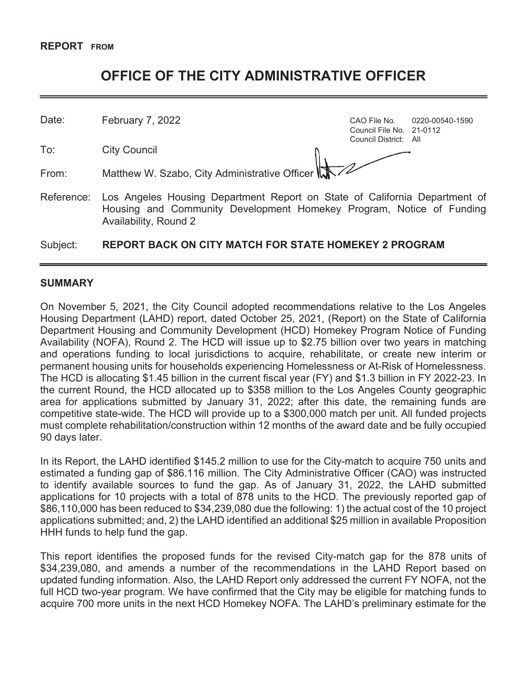# **OFFICE OF THE CITY ADMINISTRATIVE OFFICER**

Date: February 7, 2022 **CAO File No.** 0220-00540-1590

To: City Council

Council File No. 21-0112 Council District: All

From: Matthew W. Szabo, City Administrative Officer

Availability, Round 2

- 
- Reference: Los Angeles Housing Department Report on State of California Department of Housing and Community Development Homekey Program, Notice of Funding

# Subject: **REPORT BACK ON CITY MATCH FOR STATE HOMEKEY 2 PROGRAM**

#### **SUMMARY**

On November 5, 2021, the City Council adopted recommendations relative to the Los Angeles Housing Department (LAHD) report, dated October 25, 2021, (Report) on the State of California Department Housing and Community Development (HCD) Homekey Program Notice of Funding Availability (NOFA), Round 2. The HCD will issue up to \$2.75 billion over two years in matching and operations funding to local jurisdictions to acquire, rehabilitate, or create new interim or permanent housing units for households experiencing Homelessness or At-Risk of Homelessness. The HCD is allocating \$1.45 billion in the current fiscal year (FY) and \$1.3 billion in FY 2022-23. In the current Round, the HCD allocated up to \$358 million to the Los Angeles County geographic area for applications submitted by January 31, 2022; after this date, the remaining funds are competitive state-wide. The HCD will provide up to a \$300,000 match per unit. All funded projects must complete rehabilitation/construction within 12 months of the award date and be fully occupied 90 days later.

In its Report, the LAHD identified \$145.2 million to use for the City-match to acquire 750 units and estimated a funding gap of \$86.116 million. The City Administrative Officer (CAO) was instructed to identify available sources to fund the gap. As of January 31, 2022, the LAHD submitted applications for 10 projects with a total of 878 units to the HCD. The previously reported gap of \$86,110,000 has been reduced to \$34,239,080 due the following: 1) the actual cost of the 10 project applications submitted; and, 2) the LAHD identified an additional \$25 million in available Proposition HHH funds to help fund the gap.

This report identifies the proposed funds for the revised City-match gap for the 878 units of \$34,239,080, and amends a number of the recommendations in the LAHD Report based on updated funding information. Also, the LAHD Report only addressed the current FY NOFA, not the full HCD two-year program. We have confirmed that the City may be eligible for matching funds to acquire 700 more units in the next HCD Homekey NOFA. The LAHD's preliminary estimate for the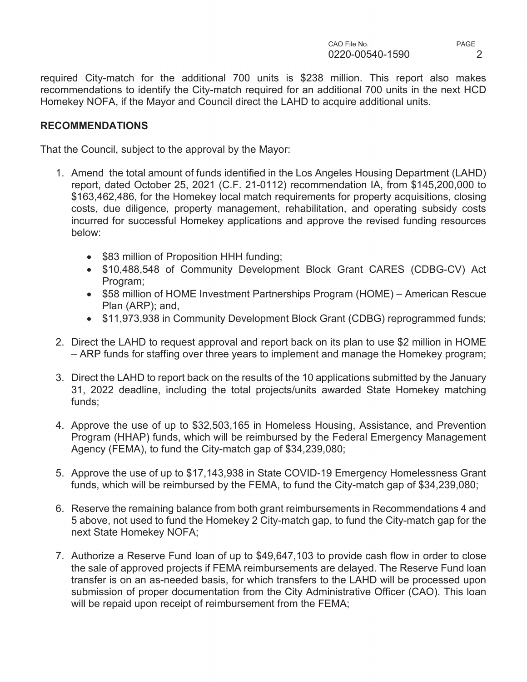required City-match for the additional 700 units is \$238 million. This report also makes recommendations to identify the City-match required for an additional 700 units in the next HCD Homekey NOFA, if the Mayor and Council direct the LAHD to acquire additional units.

# **RECOMMENDATIONS**

That the Council, subject to the approval by the Mayor:

- 1. Amend the total amount of funds identified in the Los Angeles Housing Department (LAHD) report, dated October 25, 2021 (C.F. 21-0112) recommendation IA, from \$145,200,000 to \$163,462,486, for the Homekey local match requirements for property acquisitions, closing costs, due diligence, property management, rehabilitation, and operating subsidy costs incurred for successful Homekey applications and approve the revised funding resources below:
	- \$83 million of Proposition HHH funding;
	- \$10,488,548 of Community Development Block Grant CARES (CDBG-CV) Act Program;
	- \$58 million of HOME Investment Partnerships Program (HOME) American Rescue Plan (ARP); and,
	- \$11,973,938 in Community Development Block Grant (CDBG) reprogrammed funds;
- 2. Direct the LAHD to request approval and report back on its plan to use \$2 million in HOME – ARP funds for staffing over three years to implement and manage the Homekey program;
- 3. Direct the LAHD to report back on the results of the 10 applications submitted by the January 31, 2022 deadline, including the total projects/units awarded State Homekey matching funds;
- 4. Approve the use of up to \$32,503,165 in Homeless Housing, Assistance, and Prevention Program (HHAP) funds, which will be reimbursed by the Federal Emergency Management Agency (FEMA), to fund the City-match gap of \$34,239,080;
- 5. Approve the use of up to \$17,143,938 in State COVID-19 Emergency Homelessness Grant funds, which will be reimbursed by the FEMA, to fund the City-match gap of \$34,239,080;
- 6. Reserve the remaining balance from both grant reimbursements in Recommendations 4 and 5 above, not used to fund the Homekey 2 City-match gap, to fund the City-match gap for the next State Homekey NOFA;
- 7. Authorize a Reserve Fund loan of up to \$49,647,103 to provide cash flow in order to close the sale of approved projects if FEMA reimbursements are delayed. The Reserve Fund loan transfer is on an as-needed basis, for which transfers to the LAHD will be processed upon submission of proper documentation from the City Administrative Officer (CAO). This loan will be repaid upon receipt of reimbursement from the FEMA;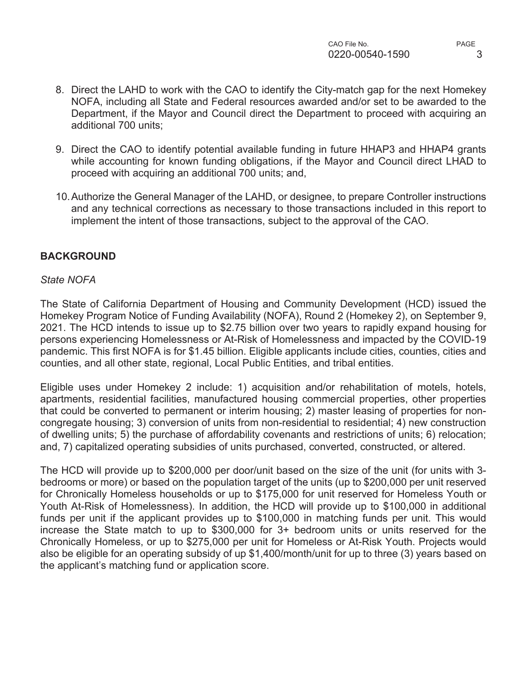- 8. Direct the LAHD to work with the CAO to identify the City-match gap for the next Homekey NOFA, including all State and Federal resources awarded and/or set to be awarded to the Department, if the Mayor and Council direct the Department to proceed with acquiring an additional 700 units;
- 9. Direct the CAO to identify potential available funding in future HHAP3 and HHAP4 grants while accounting for known funding obligations, if the Mayor and Council direct LHAD to proceed with acquiring an additional 700 units; and,
- 10. Authorize the General Manager of the LAHD, or designee, to prepare Controller instructions and any technical corrections as necessary to those transactions included in this report to implement the intent of those transactions, subject to the approval of the CAO.

# **BACKGROUND**

#### *State NOFA*

The State of California Department of Housing and Community Development (HCD) issued the Homekey Program Notice of Funding Availability (NOFA), Round 2 (Homekey 2), on September 9, 2021. The HCD intends to issue up to \$2.75 billion over two years to rapidly expand housing for persons experiencing Homelessness or At-Risk of Homelessness and impacted by the COVID-19 pandemic. This first NOFA is for \$1.45 billion. Eligible applicants include cities, counties, cities and counties, and all other state, regional, Local Public Entities, and tribal entities.

Eligible uses under Homekey 2 include: 1) acquisition and/or rehabilitation of motels, hotels, apartments, residential facilities, manufactured housing commercial properties, other properties that could be converted to permanent or interim housing; 2) master leasing of properties for noncongregate housing; 3) conversion of units from non-residential to residential; 4) new construction of dwelling units; 5) the purchase of affordability covenants and restrictions of units; 6) relocation; and, 7) capitalized operating subsidies of units purchased, converted, constructed, or altered.

The HCD will provide up to \$200,000 per door/unit based on the size of the unit (for units with 3 bedrooms or more) or based on the population target of the units (up to \$200,000 per unit reserved for Chronically Homeless households or up to \$175,000 for unit reserved for Homeless Youth or Youth At-Risk of Homelessness). In addition, the HCD will provide up to \$100,000 in additional funds per unit if the applicant provides up to \$100,000 in matching funds per unit. This would increase the State match to up to \$300,000 for 3+ bedroom units or units reserved for the Chronically Homeless, or up to \$275,000 per unit for Homeless or At-Risk Youth. Projects would also be eligible for an operating subsidy of up \$1,400/month/unit for up to three (3) years based on the applicant's matching fund or application score.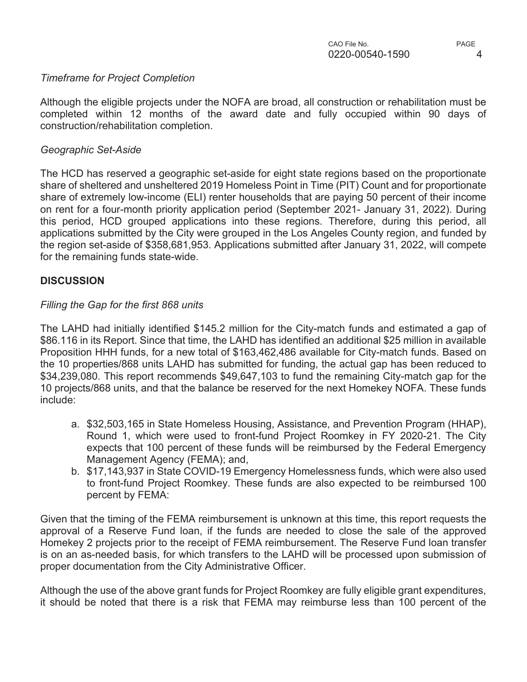#### *Timeframe for Project Completion*

Although the eligible projects under the NOFA are broad, all construction or rehabilitation must be completed within 12 months of the award date and fully occupied within 90 days of construction/rehabilitation completion.

### *Geographic Set-Aside*

The HCD has reserved a geographic set-aside for eight state regions based on the proportionate share of sheltered and unsheltered 2019 Homeless Point in Time (PIT) Count and for proportionate share of extremely low-income (ELI) renter households that are paying 50 percent of their income on rent for a four-month priority application period (September 2021- January 31, 2022). During this period, HCD grouped applications into these regions. Therefore, during this period, all applications submitted by the City were grouped in the Los Angeles County region, and funded by the region set-aside of \$358,681,953. Applications submitted after January 31, 2022, will compete for the remaining funds state-wide.

# **DISCUSSION**

# *Filling the Gap for the first 868 units*

The LAHD had initially identified \$145.2 million for the City-match funds and estimated a gap of \$86.116 in its Report. Since that time, the LAHD has identified an additional \$25 million in available Proposition HHH funds, for a new total of \$163,462,486 available for City-match funds. Based on the 10 properties/868 units LAHD has submitted for funding, the actual gap has been reduced to \$34,239,080. This report recommends \$49,647,103 to fund the remaining City-match gap for the 10 projects/868 units, and that the balance be reserved for the next Homekey NOFA. These funds include:

- a. \$32,503,165 in State Homeless Housing, Assistance, and Prevention Program (HHAP), Round 1, which were used to front-fund Project Roomkey in FY 2020-21. The City expects that 100 percent of these funds will be reimbursed by the Federal Emergency Management Agency (FEMA); and,
- b. \$17,143,937 in State COVID-19 Emergency Homelessness funds, which were also used to front-fund Project Roomkey. These funds are also expected to be reimbursed 100 percent by FEMA:

Given that the timing of the FEMA reimbursement is unknown at this time, this report requests the approval of a Reserve Fund loan, if the funds are needed to close the sale of the approved Homekey 2 projects prior to the receipt of FEMA reimbursement. The Reserve Fund loan transfer is on an as-needed basis, for which transfers to the LAHD will be processed upon submission of proper documentation from the City Administrative Officer.

Although the use of the above grant funds for Project Roomkey are fully eligible grant expenditures, it should be noted that there is a risk that FEMA may reimburse less than 100 percent of the